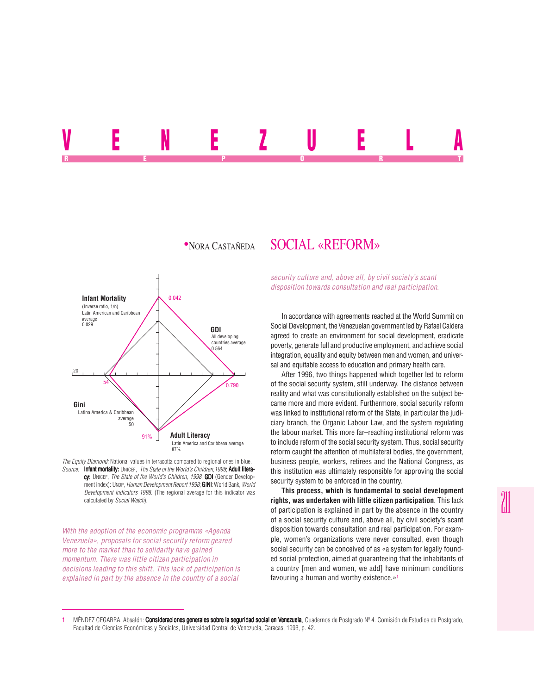## VENEZUELA REPORT OF STATE REPORT OF STATE REPORT OF STATE REPORT OF STATE REPORT OF STATE REPORT OF STATE REPORT OF STATE REPORT OF STATE REPORT OF STATE REPORT OF STATE REPORT OF STATE REPORT OF STATE REPORT OF STATE REPORT OF STAT

## <sup>z</sup>NORA CASTAÑEDA SOCIAL «REFORM»



*The Equity Diamond:* National values in terracotta compared to regional ones in blue. *Source:* Infant mortality: UNICEF, *The State of the World's Children,1998*; Adult literacy: UNICEF, *The State of the World's Children, 1998*; **GDI** (Gender Development index): UNDP, *Human Development Report 1998*; **GINI**: World Bank, *World Development indicators 1998*. (The regional average for this indicator was calculated by *Social Watch*).

*With the adoption of the economic programme «Agenda Venezuela», proposals for social security reform geared more to the market than to solidarity have gained momentum. There was little citizen participation in decisions leading to this shift. This lack of participation is explained in part by the absence in the country of a social*

*security culture and, above all, by civil society's scant disposition towards consultation and real participation.*

In accordance with agreements reached at the World Summit on Social Development, the Venezuelan government led by Rafael Caldera agreed to create an environment for social development, eradicate poverty, generate full and productive employment, and achieve social integration, equality and equity between men and women, and universal and equitable access to education and primary health care.

After 1996, two things happened which together led to reform of the social security system, still underway. The distance between reality and what was constitutionally established on the subject became more and more evident. Furthermore, social security reform was linked to institutional reform of the State, in particular the judiciary branch, the Organic Labour Law, and the system regulating the labour market. This more far–reaching institutional reform was to include reform of the social security system. Thus, social security reform caught the attention of multilateral bodies, the government, business people, workers, retirees and the National Congress, as this institution was ultimately responsible for approving the social security system to be enforced in the country.

**This process, which is fundamental to social development rights, was undertaken with little citizen participation**. This lack of participation is explained in part by the absence in the country of a social security culture and, above all, by civil society's scant disposition towards consultation and real participation. For example, women's organizations were never consulted, even though social security can be conceived of as «a system for legally founded social protection, aimed at guaranteeing that the inhabitants of a country [men and women, we add] have minimum conditions favouring a human and worthy existence.»<sup>1</sup>

MÉNDEZ CEGARRA, Absalón: Consideraciones generales sobre la seguridad social en Venezuela, Cuadernos de Postgrado Nº 4. Comisión de Estudios de Postgrado, Facultad de Ciencias Económicas y Sociales, Universidad Central de Venezuela, Caracas, 1993, p. 42.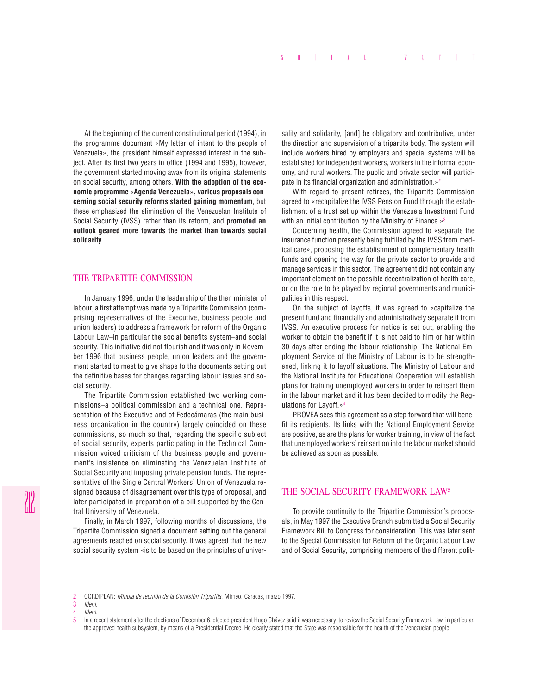At the beginning of the current constitutional period (1994), in the programme document «My letter of intent to the people of Venezuela», the president himself expressed interest in the subject. After its first two years in office (1994 and 1995), however, the government started moving away from its original statements on social security, among others. **With the adoption of the economic programme «Agenda Venezuela», various proposals concerning social security reforms started gaining momentum**, but these emphasized the elimination of the Venezuelan Institute of Social Security (IVSS) rather than its reform, and **promoted an outlook geared more towards the market than towards social solidarity**.

## THE TRIPARTITE COMMISSION

In January 1996, under the leadership of the then minister of labour, a first attempt was made by a Tripartite Commission (comprising representatives of the Executive, business people and union leaders) to address a framework for reform of the Organic Labour Law–in particular the social benefits system–and social security. This initiative did not flourish and it was only in November 1996 that business people, union leaders and the government started to meet to give shape to the documents setting out the definitive bases for changes regarding labour issues and social security.

The Tripartite Commission established two working commissions–a political commission and a technical one. Representation of the Executive and of Fedecámaras (the main business organization in the country) largely coincided on these commissions, so much so that, regarding the specific subject of social security, experts participating in the Technical Commission voiced criticism of the business people and government's insistence on eliminating the Venezuelan Institute of Social Security and imposing private pension funds. The representative of the Single Central Workers' Union of Venezuela resigned because of disagreement over this type of proposal, and later participated in preparation of a bill supported by the Central University of Venezuela.

Finally, in March 1997, following months of discussions, the Tripartite Commission signed a document setting out the general agreements reached on social security. It was agreed that the new social security system «is to be based on the principles of univer-

sality and solidarity, [and] be obligatory and contributive, under the direction and supervision of a tripartite body. The system will include workers hired by employers and special systems will be established for independent workers, workers in the informal economy, and rural workers. The public and private sector will participate in its financial organization and administration.»<sup>2</sup>

With regard to present retirees, the Tripartite Commission agreed to «recapitalize the IVSS Pension Fund through the establishment of a trust set up within the Venezuela Investment Fund with an initial contribution by the Ministry of Finance.»<sup>3</sup>

Concerning health, the Commission agreed to «separate the insurance function presently being fulfilled by the IVSS from medical care», proposing the establishment of complementary health funds and opening the way for the private sector to provide and manage services in this sector. The agreement did not contain any important element on the possible decentralization of health care, or on the role to be played by regional governments and municipalities in this respect.

On the subject of layoffs, it was agreed to «capitalize the present fund and financially and administratively separate it from IVSS. An executive process for notice is set out, enabling the worker to obtain the benefit if it is not paid to him or her within 30 days after ending the labour relationship. The National Employment Service of the Ministry of Labour is to be strengthened, linking it to layoff situations. The Ministry of Labour and the National Institute for Educational Cooperation will establish plans for training unemployed workers in order to reinsert them in the labour market and it has been decided to modify the Regulations for Layoff.»4

PROVEA sees this agreement as a step forward that will benefit its recipients. Its links with the National Employment Service are positive, as are the plans for worker training, in view of the fact that unemployed workers' reinsertion into the labour market should be achieved as soon as possible.

## THE SOCIAL SECURITY FRAMEWORK LAW5

To provide continuity to the Tripartite Commission's proposals, in May 1997 the Executive Branch submitted a Social Security Framework Bill to Congress for consideration. This was later sent to the Special Commission for Reform of the Organic Labour Law and of Social Security, comprising members of the different polit-

<sup>2</sup> CORDIPLAN: *Minuta de reunión de la Comisión Tripartita*. Mimeo. Caracas, marzo 1997.

<sup>3</sup> *Idem*.

<sup>4</sup> *Idem.*

In a recent statement after the elections of December 6, elected president Hugo Chávez said it was necessary to review the Social Security Framework Law, in particular, the approved health subsystem, by means of a Presidential Decree. He clearly stated that the State was responsible for the health of the Venezuelan people.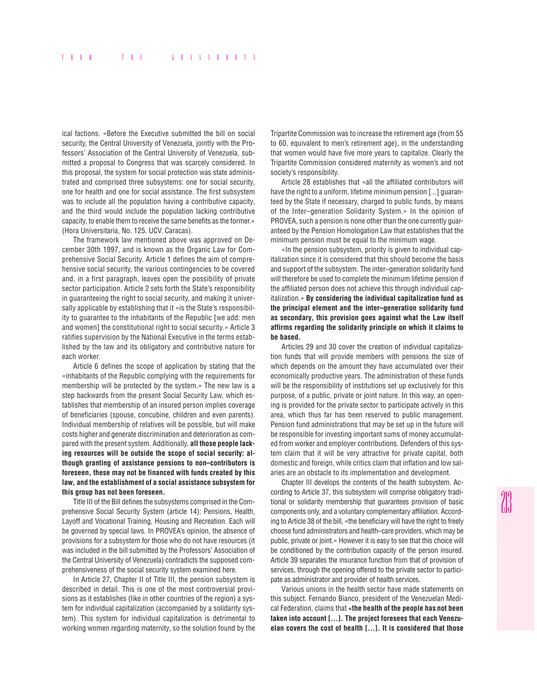ical factions. «Before the Executive submitted the bill on social security, the Central University of Venezuela, jointly with the Professors' Association of the Central University of Venezuela, submitted a proposal to Congress that was scarcely considered. In this proposal, the system for social protection was state administrated and comprised three subsystems: one for social security, one for health and one for social assistance. The first subsystem was to include all the population having a contributive capacity, and the third would include the population lacking contributive capacity, to enable them to receive the same benefits as the former.» (Hora Universitaria, No. 125. UCV. Caracas).

The framework law mentioned above was approved on December 30th 1997, and is known as the Organic Law for Comprehensive Social Security. Article 1 defines the aim of comprehensive social security, the various contingencies to be covered and, in a first paragraph, leaves open the possibility of private sector participation. Article 2 sets forth the State's responsibility in guaranteeing the right to social security, and making it universally applicable by establishing that it «is the State's responsibility to guarantee to the inhabitants of the Republic [we add: men and women] the constitutional right to social security.» Article 3 ratifies supervision by the National Executive in the terms established by the law and its obligatory and contributive nature for each worker.

Article 6 defines the scope of application by stating that the «inhabitants of the Republic complying with the requirements for membership will be protected by the system.» The new law is a step backwards from the present Social Security Law, which establishes that membership of an insured person implies coverage of beneficiaries (spouse, concubine, children and even parents). Individual membership of relatives will be possible, but will make costs higher and generate discrimination and deterioration as compared with the present system. Additionally, **all those people lacking resources will be outside the scope of social security: although granting of assistance pensions to non–contributors is foreseen, these may not be financed with funds created by this law, and the establishment of a social assistance subsystem for this group has not been foreseen.**

Title III of the Bill defines the subsystems comprised in the Comprehensive Social Security System (article 14): Pensions, Health, Layoff and Vocational Training, Housing and Recreation. Each will be governed by special laws. In PROVEA's opinion, the absence of provisions for a subsystem for those who do not have resources (it was included in the bill submitted by the Professors' Association of the Central University of Venezuela) contradicts the supposed comprehensiveness of the social security system examined here.

In Article 27, Chapter II of Title III, the pension subsystem is described in detail. This is one of the most controversial provisions as it establishes (like in other countries of the region) a system for individual capitalization (accompanied by a solidarity system). This system for individual capitalization is detrimental to working women regarding maternity, so the solution found by the Tripartite Commission was to increase the retirement age (from 55 to 60, equivalent to men's retirement age), in the understanding that women would have five more years to capitalize. Clearly the Tripartite Commission considered maternity as women's and not society's responsibility.

Article 28 establishes that «all the affiliated contributors will have the right to a uniform, lifetime minimum pension [...] guaranteed by the State if necessary, charged to public funds, by means of the Inter–generation Solidarity System.» In the opinion of PROVEA, such a pension is none other than the one currently guaranteed by the Pension Homologation Law that establishes that the minimum pension must be equal to the minimum wage.

«In the pension subsystem, priority is given to individual capitalization since it is considered that this should become the basis and support of the subsystem. The inter–generation solidarity fund will therefore be used to complete the minimum lifetime pension if the affiliated person does not achieve this through individual capitalization.» **By considering the individual capitalization fund as the principal element and the inter–generation solidarity fund as secondary, this provision goes against what the Law itself affirms regarding the solidarity principle on which it claims to be based.**

Articles 29 and 30 cover the creation of individual capitalization funds that will provide members with pensions the size of which depends on the amount they have accumulated over their economically productive years. The administration of these funds will be the responsibility of institutions set up exclusively for this purpose, of a public, private or joint nature. In this way, an opening is provided for the private sector to participate actively in this area, which thus far has been reserved to public management. Pension fund administrations that may be set up in the future will be responsible for investing important sums of money accumulated from worker and employer contributions. Defenders of this system claim that it will be very attractive for private capital, both domestic and foreign, while critics claim that inflation and low salaries are an obstacle to its implementation and development.

Chapter III develops the contents of the health subsystem. According to Article 37, this subsystem will comprise obligatory traditional or solidarity membership that guarantees provision of basic components only, and a voluntary complementary affiliation. According to Article 38 of the bill, «the beneficiary will have the right to freely choose fund administrators and health–care providers, which may be public, private or joint.» However it is easy to see that this choice will be conditioned by the contribution capacity of the person insured. Article 39 separates the insurance function from that of provision of services, through the opening offered to the private sector to participate as administrator and provider of health services.

Various unions in the health sector have made statements on this subject. Fernando Bianco, president of the Venezuelan Medical Federation, claims that **«the health of the people has not been taken into account [...]. The project foresees that each Venezuelan covers the cost of health [...]. It is considered that those**